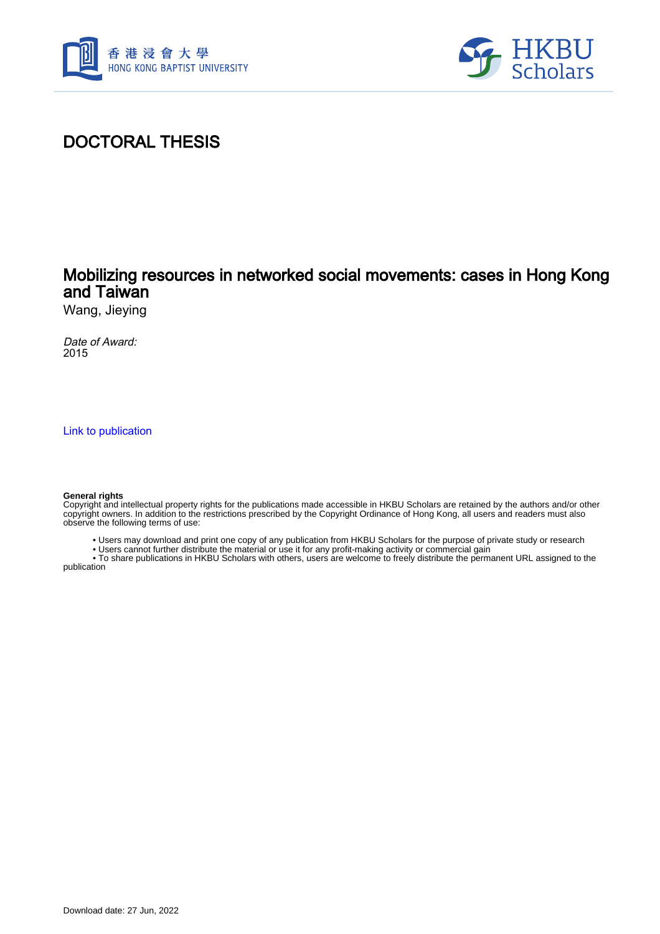



# DOCTORAL THESIS

### Mobilizing resources in networked social movements: cases in Hong Kong and Taiwan

Wang, Jieying

Date of Award: 2015

[Link to publication](https://scholars.hkbu.edu.hk/en/studentTheses/9da01828-573f-444e-93a5-2495d58c93f2)

#### **General rights**

Copyright and intellectual property rights for the publications made accessible in HKBU Scholars are retained by the authors and/or other copyright owners. In addition to the restrictions prescribed by the Copyright Ordinance of Hong Kong, all users and readers must also observe the following terms of use:

• Users may download and print one copy of any publication from HKBU Scholars for the purpose of private study or research

• Users cannot further distribute the material or use it for any profit-making activity or commercial gain

 • To share publications in HKBU Scholars with others, users are welcome to freely distribute the permanent URL assigned to the publication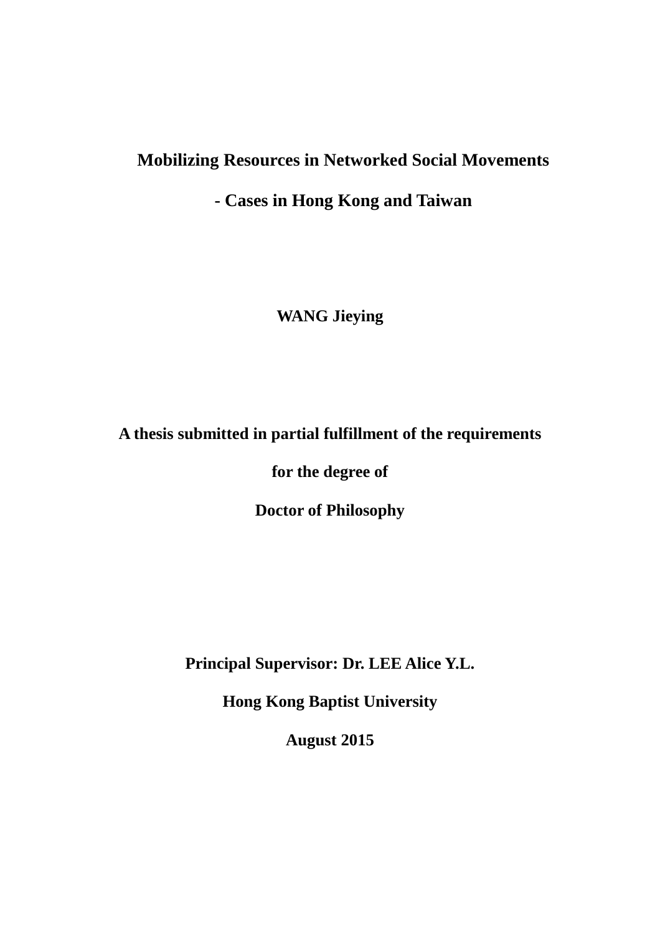# **Mobilizing Resources in Networked Social Movements**

## **- Cases in Hong Kong and Taiwan**

**WANG Jieying**

# **A thesis submitted in partial fulfillment of the requirements**

**for the degree of**

**Doctor of Philosophy**

**Principal Supervisor: Dr. LEE Alice Y.L.**

**Hong Kong Baptist University**

**August 2015**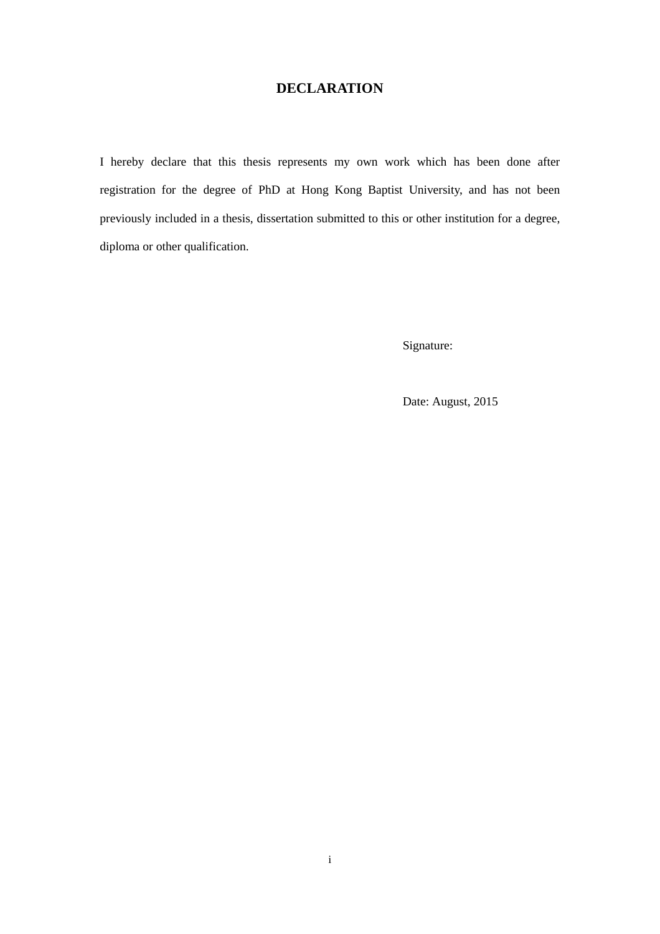### **DECLARATION**

<span id="page-2-0"></span>I hereby declare that this thesis represents my own work which has been done after registration for the degree of PhD at Hong Kong Baptist University, and has not been previously included in a thesis, dissertation submitted to this or other institution for a degree, diploma or other qualification.

Signature:

Date: August, 2015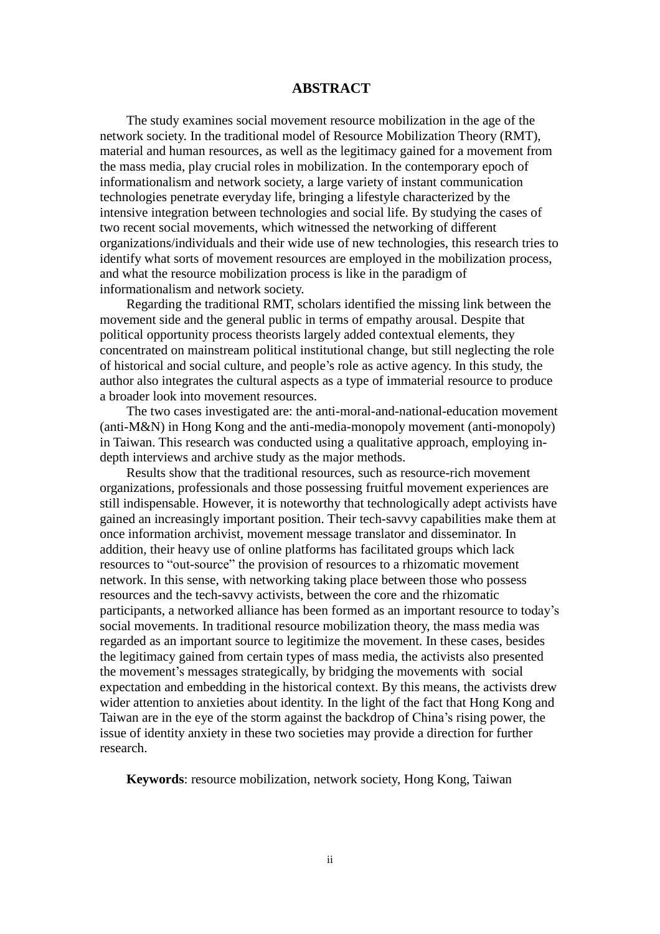### <span id="page-3-0"></span>**ABSTRACT**

The study examines social movement resource mobilization in the age of the network society. In the traditional model of Resource Mobilization Theory (RMT), material and human resources, as well as the legitimacy gained for a movement from the mass media, play crucial roles in mobilization. In the contemporary epoch of informationalism and network society, a large variety of instant communication technologies penetrate everyday life, bringing a lifestyle characterized by the intensive integration between technologies and social life. By studying the cases of two recent social movements, which witnessed the networking of different organizations/individuals and their wide use of new technologies, this research tries to identify what sorts of movement resources are employed in the mobilization process, and what the resource mobilization process is like in the paradigm of informationalism and network society.

Regarding the traditional RMT, scholars identified the missing link between the movement side and the general public in terms of empathy arousal. Despite that political opportunity process theorists largely added contextual elements, they concentrated on mainstream political institutional change, but still neglecting the role of historical and social culture, and people's role as active agency. In this study, the author also integrates the cultural aspects as a type of immaterial resource to produce a broader look into movement resources.

The two cases investigated are: the anti-moral-and-national-education movement (anti-M&N) in Hong Kong and the anti-media-monopoly movement (anti-monopoly) in Taiwan. This research was conducted using a qualitative approach, employing indepth interviews and archive study as the major methods.

Results show that the traditional resources, such as resource-rich movement organizations, professionals and those possessing fruitful movement experiences are still indispensable. However, it is noteworthy that technologically adept activists have gained an increasingly important position. Their tech-savvy capabilities make them at once information archivist, movement message translator and disseminator. In addition, their heavy use of online platforms has facilitated groups which lack resources to "out-source" the provision of resources to a rhizomatic movement network. In this sense, with networking taking place between those who possess resources and the tech-savvy activists, between the core and the rhizomatic participants, a networked alliance has been formed as an important resource to today's social movements. In traditional resource mobilization theory, the mass media was regarded as an important source to legitimize the movement. In these cases, besides the legitimacy gained from certain types of mass media, the activists also presented the movement's messages strategically, by bridging the movements with social expectation and embedding in the historical context. By this means, the activists drew wider attention to anxieties about identity. In the light of the fact that Hong Kong and Taiwan are in the eye of the storm against the backdrop of China's rising power, the issue of identity anxiety in these two societies may provide a direction for further research.

**Keywords**: resource mobilization, network society, Hong Kong, Taiwan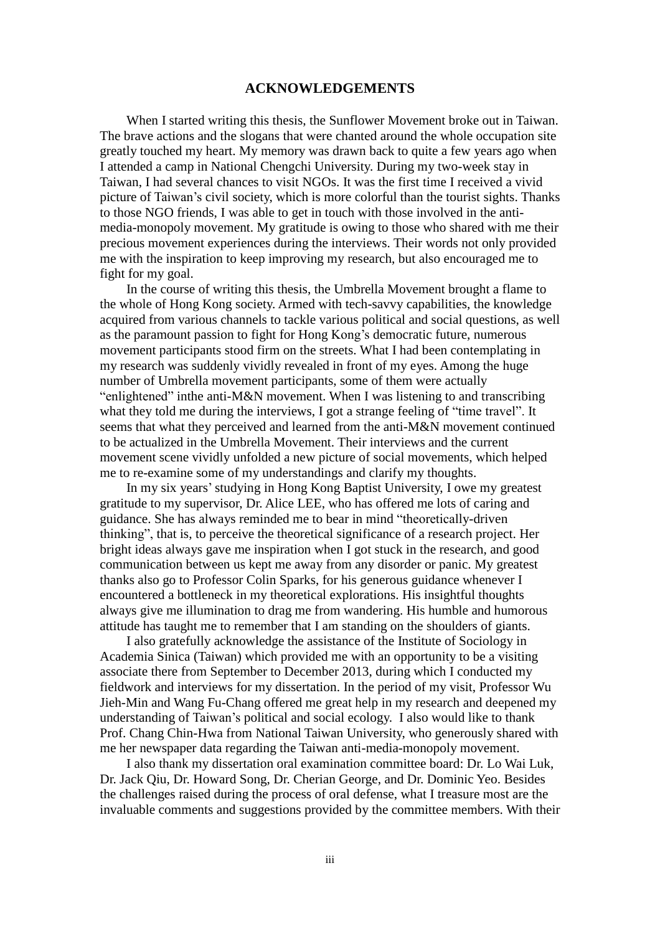#### **ACKNOWLEDGEMENTS**

<span id="page-4-0"></span>When I started writing this thesis, the Sunflower Movement broke out in Taiwan. The brave actions and the slogans that were chanted around the whole occupation site greatly touched my heart. My memory was drawn back to quite a few years ago when I attended a camp in National Chengchi University. During my two-week stay in Taiwan, I had several chances to visit NGOs. It was the first time I received a vivid picture of Taiwan's civil society, which is more colorful than the tourist sights. Thanks to those NGO friends, I was able to get in touch with those involved in the antimedia-monopoly movement. My gratitude is owing to those who shared with me their precious movement experiences during the interviews. Their words not only provided me with the inspiration to keep improving my research, but also encouraged me to fight for my goal.

In the course of writing this thesis, the Umbrella Movement brought a flame to the whole of Hong Kong society. Armed with tech-savvy capabilities, the knowledge acquired from various channels to tackle various political and social questions, as well as the paramount passion to fight for Hong Kong's democratic future, numerous movement participants stood firm on the streets. What I had been contemplating in my research was suddenly vividly revealed in front of my eyes. Among the huge number of Umbrella movement participants, some of them were actually "enlightened" inthe anti-M&N movement. When I was listening to and transcribing what they told me during the interviews, I got a strange feeling of "time travel". It seems that what they perceived and learned from the anti-M&N movement continued to be actualized in the Umbrella Movement. Their interviews and the current movement scene vividly unfolded a new picture of social movements, which helped me to re-examine some of my understandings and clarify my thoughts.

In my six years'studying in Hong Kong Baptist University, I owe my greatest gratitude to my supervisor, Dr. Alice LEE, who has offered me lots of caring and guidance. She has always reminded me to bear in mind "theoretically-driven thinking", that is, to perceive the theoretical significance of a research project. Her bright ideas always gave me inspiration when I got stuck in the research, and good communication between us kept me away from any disorder or panic. My greatest thanks also go to Professor Colin Sparks, for his generous guidance whenever I encountered a bottleneck in my theoretical explorations. His insightful thoughts always give me illumination to drag me from wandering. His humble and humorous attitude has taught me to remember that I am standing on the shoulders of giants.

I also gratefully acknowledge the assistance of the Institute of Sociology in Academia Sinica (Taiwan) which provided me with an opportunity to be a visiting associate there from September to December 2013, during which I conducted my fieldwork and interviews for my dissertation. In the period of my visit, Professor Wu Jieh-Min and Wang Fu-Chang offered me great help in my research and deepened my understanding of Taiwan's political and social ecology. I also would like to thank Prof. Chang Chin-Hwa from National Taiwan University, who generously shared with me her newspaper data regarding the Taiwan anti-media-monopoly movement.

I also thank my dissertation oral examination committee board: Dr. Lo Wai Luk, Dr. Jack Qiu, Dr. Howard Song, Dr. Cherian George, and Dr. Dominic Yeo. Besides the challenges raised during the process of oral defense, what I treasure most are the invaluable comments and suggestions provided by the committee members. With their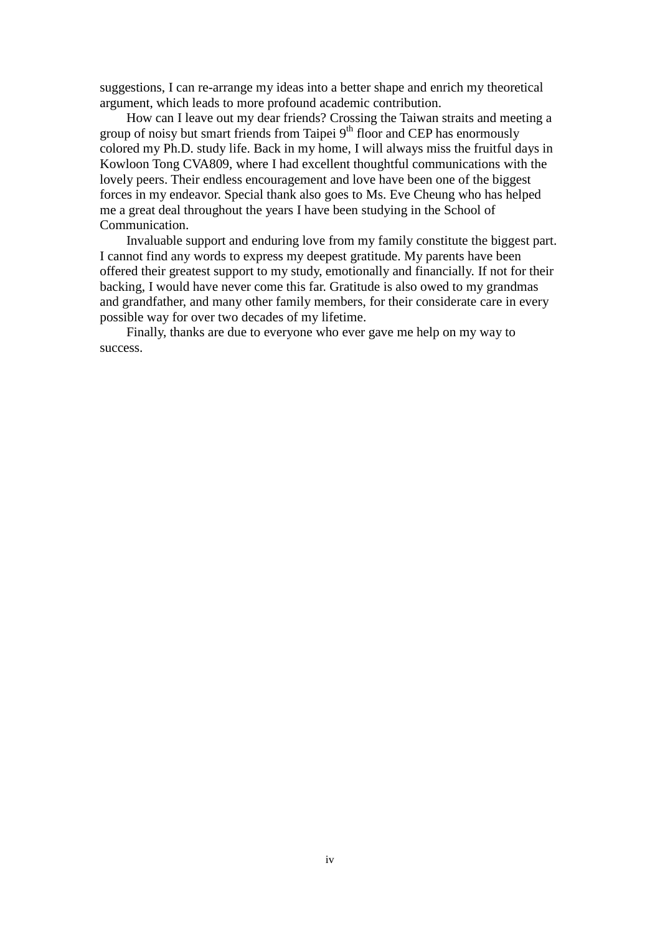suggestions, I can re-arrange my ideas into a better shape and enrich my theoretical argument, which leads to more profound academic contribution.

How can I leave out my dear friends? Crossing the Taiwan straits and meeting a group of noisy but smart friends from Taipei 9<sup>th</sup> floor and CEP has enormously colored my Ph.D. study life. Back in my home, I will always miss the fruitful days in Kowloon Tong CVA809, where I had excellent thoughtful communications with the lovely peers. Their endless encouragement and love have been one of the biggest forces in my endeavor. Special thank also goes to Ms. Eve Cheung who has helped me a great deal throughout the years I have been studying in the School of Communication.

Invaluable support and enduring love from my family constitute the biggest part. I cannot find any words to express my deepest gratitude. My parents have been offered their greatest support to my study, emotionally and financially. If not for their backing, I would have never come this far. Gratitude is also owed to my grandmas and grandfather, and many other family members, for their considerate care in every possible way for over two decades of my lifetime.

Finally, thanks are due to everyone who ever gave me help on my way to success.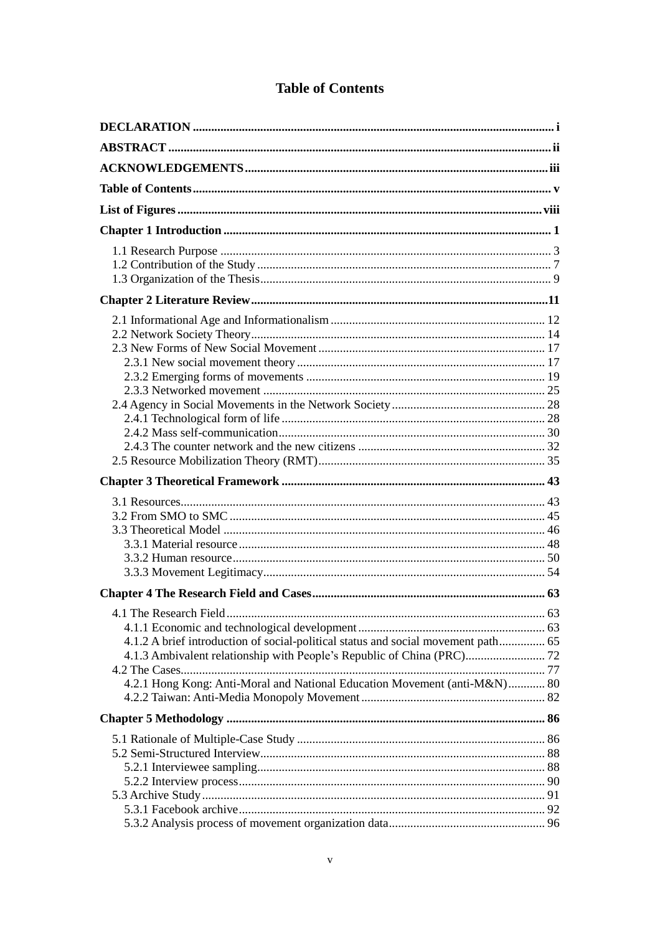|  | <b>Table of Contents</b> |
|--|--------------------------|
|--|--------------------------|

<span id="page-6-0"></span>

| 4.1.2 A brief introduction of social-political status and social movement path 65<br>4.2.1 Hong Kong: Anti-Moral and National Education Movement (anti-M&N) 80 |  |
|----------------------------------------------------------------------------------------------------------------------------------------------------------------|--|
|                                                                                                                                                                |  |
|                                                                                                                                                                |  |